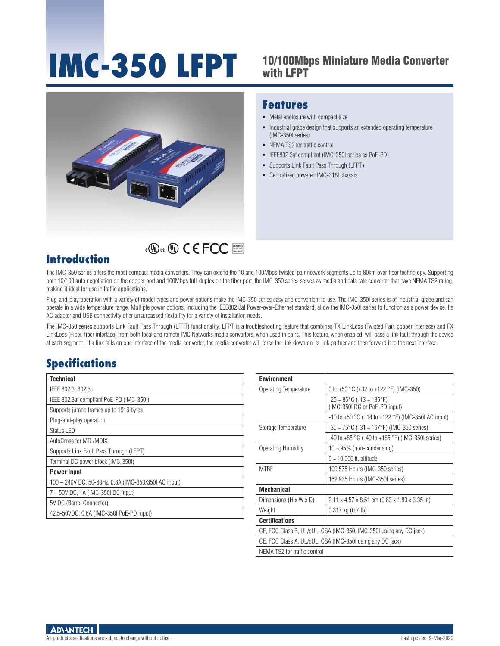# 10/100Mbps Miniature Media Converter **IMC-350 LFPT** with LFPT

Industrial grade design that supports an extended operating temperature

 IEEE802.3af compliant (IMC-350I series as PoE-PD) Supports Link Fault Pass Through (LFPT) Centralized powered IMC-318I chassis



# RoHS **COMPLIANT 2002/95/EC**

#### **Introduction**

The IMC-350 series offers the most compact media converters. They can extend the 10 and 100Mbps twisted-pair network segments up to 80km over fiber technology. Supporting both 10/100 auto negotiation on the copper port and 100Mbps full-duplex on the fiber port, the IMC-350 series serves as media and data rate converter that have NEMA TS2 rating, making it ideal for use in traffic applications.

**Features**

(IMC-350I series) • NEMA TS2 for traffic control

 $\blacksquare$  Metal enclosure with compact size

Plug-and-play operation with a variety of model types and power options make the IMC-350 series easy and convenient to use. The IMC-350I series is of industrial grade and can operate in a wide temperature range. Multiple power options, including the IEEE802.3af Power-over-Ethernet standard, allow the IMC-350I series to function as a power device. Its AC adapter and USB connectivity offer unsurpassed flexibility for a variety of installation needs.

The IMC-350 series supports Link Fault Pass Through (LFPT) functionality. LFPT is a troubleshooting feature that combines TX LinkLoss (Twisted Pair, copper interface) and FX LinkLoss (Fiber, fiber interface) from both local and remote IMC Networks media converters, when used in pairs. This feature, when enabled, will pass a link fault through the device at each segment. If a link fails on one interface of the media converter, the media converter will force the link down on its link partner and then forward it to the next interface.

#### **Specifications**

| Technical                                            |
|------------------------------------------------------|
| IEEE 802.3, 802.3u                                   |
| IEEE 802.3af compliant PoE-PD (IMC-350I)             |
| Supports jumbo frames up to 1916 bytes               |
| Plug-and-play operation                              |
| Status LED                                           |
| AutoCross for MDI/MDIX                               |
| Supports Link Fault Pass Through (LFPT)              |
| Terminal DC power block (IMC-350I)                   |
| <b>Power Input</b>                                   |
| 100 - 240V DC, 50-60Hz, 0.3A (IMC-350/350I AC input) |
| 7 - 50V DC, 1A (IMC-350I DC input)                   |
| 5V DC (Barrel Connector)                             |
| 42.5-50VDC, 0.6A (IMC-350I PoE-PD input)             |

| <b>Environment</b>                                                 |                                                                        |  |  |  |
|--------------------------------------------------------------------|------------------------------------------------------------------------|--|--|--|
| Operating Temperature                                              | 0 to +50 $^{\circ}$ C (+32 to +122 $^{\circ}$ F) (IMC-350)             |  |  |  |
|                                                                    | $-25 \sim 85^{\circ}$ C (-13 ~ 185°F)<br>(IMC-350I DC or PoE-PD input) |  |  |  |
|                                                                    | -10 to +50 $^{\circ}$ C (+14 to +122 $^{\circ}$ F) (IMC-350I AC input) |  |  |  |
| Storage Temperature                                                | $-35 \sim 75^{\circ}$ C (-31 ~ 167°F) (IMC-350 series)                 |  |  |  |
|                                                                    | $-40$ to $+85$ °C ( $-40$ to $+185$ °F) (IMC-350I series)              |  |  |  |
| Operating Humidity                                                 | $10 \sim 95\%$ (non-condensing)                                        |  |  |  |
|                                                                    | $0 \sim 10,000$ ft. altitude                                           |  |  |  |
| <b>MTRF</b>                                                        | 109,575 Hours (IMC-350 series)                                         |  |  |  |
|                                                                    | 162,935 Hours (IMC-350I series)                                        |  |  |  |
| <b>Mechanical</b>                                                  |                                                                        |  |  |  |
| Dimensions (H x W x D)                                             | 2.11 x 4.57 x 8.51 cm (0.83 x 1.80 x 3.35 in)                          |  |  |  |
| Weight                                                             | $0.317$ kg $(0.7$ lb)                                                  |  |  |  |
| <b>Certifications</b>                                              |                                                                        |  |  |  |
| CE, FCC Class B, UL/cUL, CSA (IMC-350, IMC-350I using any DC jack) |                                                                        |  |  |  |
| CE, FCC Class A, UL/cUL, CSA (IMC-350I using any DC jack)          |                                                                        |  |  |  |
| NEMA TS2 for traffic control                                       |                                                                        |  |  |  |

**ADVANTECH** 

All product specifications are subject to change without notice. Change without notice. Last updated: 9-Mar-2020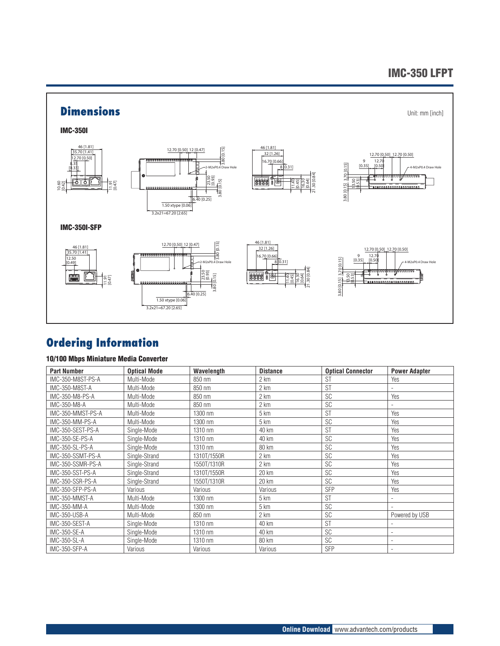#### IMC-350 LFPT



### **Ordering Information**

#### 10/100 Mbps Miniature Media Converter

| <b>Part Number</b> | <b>Optical Mode</b> | Wavelength  | <b>Distance</b> | <b>Optical Connector</b> | <b>Power Adapter</b>     |
|--------------------|---------------------|-------------|-----------------|--------------------------|--------------------------|
| IMC-350-M8ST-PS-A  | Multi-Mode          | 850 nm      | 2 km            | <b>ST</b>                | Yes                      |
| IMC-350-M8ST-A     | Multi-Mode          | 850 nm      | 2 km            | <b>ST</b>                | $\overline{\phantom{a}}$ |
| IMC-350-M8-PS-A    | Multi-Mode          | 850 nm      | 2 km            | <b>SC</b>                | Yes                      |
| IMC-350-M8-A       | Multi-Mode          | 850 nm      | 2 km            | <b>SC</b>                | ٠                        |
| IMC-350-MMST-PS-A  | Multi-Mode          | 1300 nm     | 5 km            | <b>ST</b>                | Yes                      |
| IMC-350-MM-PS-A    | Multi-Mode          | 1300 nm     | 5 km            | <b>SC</b>                | Yes                      |
| IMC-350-SEST-PS-A  | Single-Mode         | 1310 nm     | 40 km           | <b>ST</b>                | Yes                      |
| IMC-350-SE-PS-A    | Single-Mode         | 1310 nm     | 40 km           | <b>SC</b>                | Yes                      |
| IMC-350-SL-PS-A    | Single-Mode         | 1310 nm     | 80 km           | SC                       | Yes                      |
| IMC-350-SSMT-PS-A  | Single-Strand       | 1310T/1550R | 2 km            | <b>SC</b>                | Yes                      |
| IMC-350-SSMR-PS-A  | Single-Strand       | 1550T/1310R | 2 km            | <b>SC</b>                | Yes                      |
| IMC-350-SST-PS-A   | Single-Strand       | 1310T/1550R | 20 km           | SC                       | Yes                      |
| IMC-350-SSR-PS-A   | Single-Strand       | 1550T/1310R | $20 \text{ km}$ | <b>SC</b>                | Yes                      |
| IMC-350-SFP-PS-A   | Various             | Various     | Various         | <b>SFP</b>               | Yes                      |
| IMC-350-MMST-A     | Multi-Mode          | 1300 nm     | 5 km            | <b>ST</b>                | $\overline{\phantom{a}}$ |
| IMC-350-MM-A       | Multi-Mode          | 1300 nm     | 5 km            | SC                       |                          |
| IMC-350-USB-A      | Multi-Mode          | 850 nm      | 2 km            | SC                       | Powered by USB           |
| IMC-350-SEST-A     | Single-Mode         | 1310 nm     | 40 km           | <b>ST</b>                |                          |
| IMC-350-SE-A       | Single-Mode         | 1310 nm     | 40 km           | SC                       | $\overline{\phantom{a}}$ |
| IMC-350-SL-A       | Single-Mode         | 1310 nm     | 80 km           | <b>SC</b>                | $\overline{\phantom{a}}$ |
| IMC-350-SFP-A      | Various             | Various     | Various         | <b>SFP</b>               | $\overline{\phantom{a}}$ |